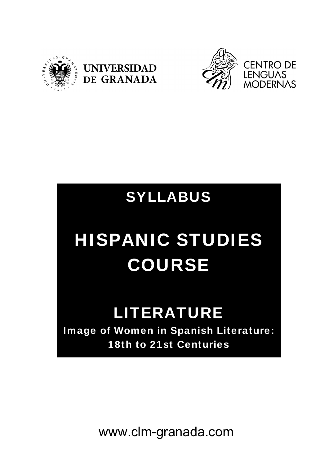





## SYLLABUS

# HISPANIC STUDIES COURSE

## LITERATURE

Image of Women in Spanish Literature: 18th to 21st Centuries

www.clm-granada.com